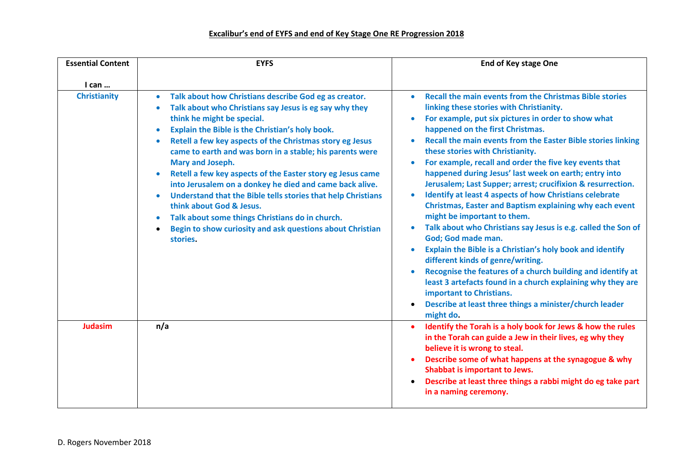| <b>Essential Content</b> | <b>EYFS</b>                                                                                                                                                                                                                                                                                                                                                                                                                                                                                                                                                                                                                                                                                                                                                                              | <b>End of Key stage One</b>                                                                                                                                                                                                                                                                                                                                                                                                                                                                                                                                                                                                                                                                                                                                                                                                                                                                                                                                                                                                                                                                                                                          |
|--------------------------|------------------------------------------------------------------------------------------------------------------------------------------------------------------------------------------------------------------------------------------------------------------------------------------------------------------------------------------------------------------------------------------------------------------------------------------------------------------------------------------------------------------------------------------------------------------------------------------------------------------------------------------------------------------------------------------------------------------------------------------------------------------------------------------|------------------------------------------------------------------------------------------------------------------------------------------------------------------------------------------------------------------------------------------------------------------------------------------------------------------------------------------------------------------------------------------------------------------------------------------------------------------------------------------------------------------------------------------------------------------------------------------------------------------------------------------------------------------------------------------------------------------------------------------------------------------------------------------------------------------------------------------------------------------------------------------------------------------------------------------------------------------------------------------------------------------------------------------------------------------------------------------------------------------------------------------------------|
| $l$ can $\ldots$         |                                                                                                                                                                                                                                                                                                                                                                                                                                                                                                                                                                                                                                                                                                                                                                                          |                                                                                                                                                                                                                                                                                                                                                                                                                                                                                                                                                                                                                                                                                                                                                                                                                                                                                                                                                                                                                                                                                                                                                      |
| <b>Christianity</b>      | Talk about how Christians describe God eg as creator.<br>$\bullet$<br>Talk about who Christians say Jesus is eg say why they<br>think he might be special.<br>Explain the Bible is the Christian's holy book.<br>$\bullet$<br>Retell a few key aspects of the Christmas story eg Jesus<br>$\bullet$<br>came to earth and was born in a stable; his parents were<br>Mary and Joseph.<br>Retell a few key aspects of the Easter story eg Jesus came<br>$\bullet$<br>into Jerusalem on a donkey he died and came back alive.<br>Understand that the Bible tells stories that help Christians<br>$\bullet$<br>think about God & Jesus.<br>Talk about some things Christians do in church.<br>$\bullet$<br>Begin to show curiosity and ask questions about Christian<br>$\bullet$<br>stories. | <b>Recall the main events from the Christmas Bible stories</b><br>$\bullet$<br>linking these stories with Christianity.<br>For example, put six pictures in order to show what<br>happened on the first Christmas.<br>Recall the main events from the Easter Bible stories linking<br>these stories with Christianity.<br>For example, recall and order the five key events that<br>$\bullet$<br>happened during Jesus' last week on earth; entry into<br>Jerusalem; Last Supper; arrest; crucifixion & resurrection.<br><b>Identify at least 4 aspects of how Christians celebrate</b><br>$\bullet$<br><b>Christmas, Easter and Baptism explaining why each event</b><br>might be important to them.<br>Talk about who Christians say Jesus is e.g. called the Son of<br>$\bullet$<br>God; God made man.<br><b>Explain the Bible is a Christian's holy book and identify</b><br>different kinds of genre/writing.<br>Recognise the features of a church building and identify at<br>least 3 artefacts found in a church explaining why they are<br>important to Christians.<br>Describe at least three things a minister/church leader<br>might do. |
| <b>Judasim</b>           | n/a                                                                                                                                                                                                                                                                                                                                                                                                                                                                                                                                                                                                                                                                                                                                                                                      | Identify the Torah is a holy book for Jews & how the rules<br>$\bullet$<br>in the Torah can guide a Jew in their lives, eg why they<br>believe it is wrong to steal.<br>Describe some of what happens at the synagogue & why<br>Shabbat is important to Jews.<br>Describe at least three things a rabbi might do eg take part<br>in a naming ceremony.                                                                                                                                                                                                                                                                                                                                                                                                                                                                                                                                                                                                                                                                                                                                                                                               |